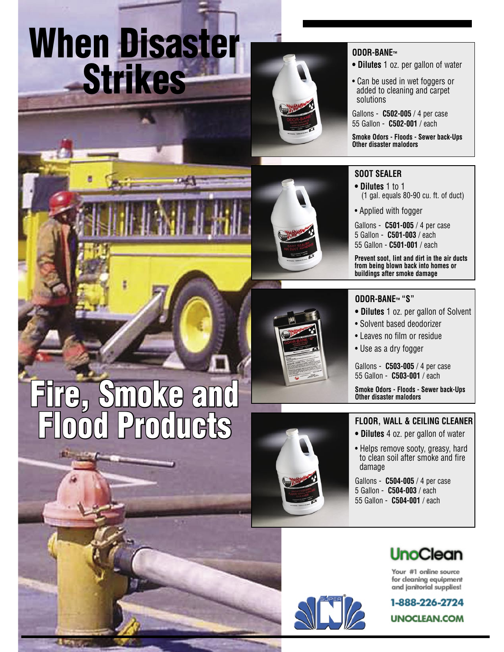# When Disaster Strikes



#### **ODOR-BANE™**

- **• Dilutes** 1 oz. per gallon of water
- Can be used in wet foggers or added to cleaning and carpet solutions

Gallons - **C502-005** / 4 per case 55 Gallon - **C502-001** / each

**Smoke Odors - Floods - Sewer back-Ups Other disaster malodors**

### **SOOT SEALER**

- **• Dilutes** 1 to 1 (1 gal. equals 80-90 cu. ft. of duct)
- Applied with fogger

Gallons - **C501-005** / 4 per case 5 Gallon - **C501-003** / each 55 Gallon - **C501-001** / each

**Prevent soot, lint and dirt in the air ducts from being blown back into homes or buildings after smoke damage**

### **ODOR-BANE™ "S"**

- **• Dilutes** 1 oz. per gallon of Solvent
- Solvent based deodorizer
- Leaves no film or residue
- Use as a dry fogger

Gallons - **C503-005** / 4 per case 55 Gallon - **C503-001** / each

**Smoke Odors - Floods - Sewer back-Ups Other disaster malodors**

### **FLOOR, WALL & CEILING CLEANER**

- **• Dilutes** 4 oz. per gallon of water
- Helps remove sooty, greasy, hard to clean soil after smoke and fire damage

Gallons - **C504-005** / 4 per case 5 Gallon - **C504-003** / each 55 Gallon - **C504-001** / each



Your #1 online source for cleaning equipment and janitorial supplies!



moke a Flood Products